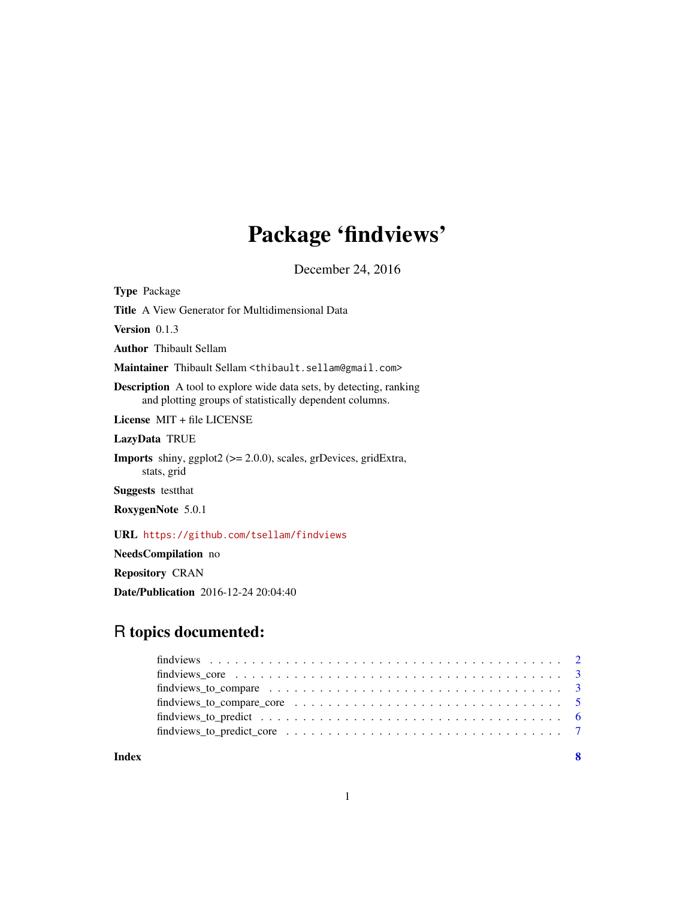# Package 'findviews'

December 24, 2016

<span id="page-0-0"></span>Type Package

Title A View Generator for Multidimensional Data

Version 0.1.3

Author Thibault Sellam

Maintainer Thibault Sellam <thibault.sellam@gmail.com>

Description A tool to explore wide data sets, by detecting, ranking and plotting groups of statistically dependent columns.

License MIT + file LICENSE

LazyData TRUE

Imports shiny, ggplot2 (>= 2.0.0), scales, grDevices, gridExtra, stats, grid

Suggests testthat

RoxygenNote 5.0.1

URL <https://github.com/tsellam/findviews>

NeedsCompilation no

Repository CRAN

Date/Publication 2016-12-24 20:04:40

# R topics documented:

| find views core $\ldots \ldots \ldots \ldots \ldots \ldots \ldots \ldots \ldots \ldots \ldots \ldots \ldots$                 |  |
|------------------------------------------------------------------------------------------------------------------------------|--|
| findviews_to_compare $\dots \dots \dots \dots \dots \dots \dots \dots \dots \dots \dots \dots \dots \dots$                   |  |
| find views_to_compare_core $\dots \dots \dots \dots \dots \dots \dots \dots \dots \dots \dots \dots \dots \dots \dots \dots$ |  |
|                                                                                                                              |  |
|                                                                                                                              |  |
|                                                                                                                              |  |

**Index** [8](#page-7-0) **8**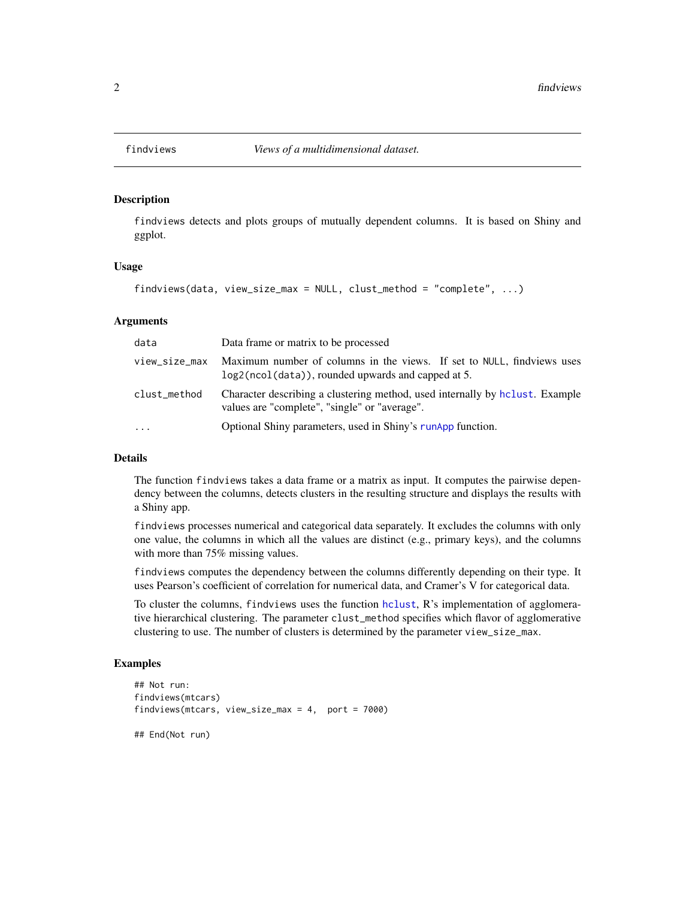<span id="page-1-1"></span><span id="page-1-0"></span>

# Description

findviews detects and plots groups of mutually dependent columns. It is based on Shiny and ggplot.

#### Usage

```
findviews(data, view_size_max = NULL, clust_method = "complete", ...)
```
#### Arguments

| data          | Data frame or matrix to be processed                                                                                           |
|---------------|--------------------------------------------------------------------------------------------------------------------------------|
| view_size_max | Maximum number of columns in the views. If set to NULL, findviews uses<br>log2(ncol(data)), rounded upwards and capped at 5.   |
| clust_method  | Character describing a clustering method, used internally by holiest. Example<br>values are "complete", "single" or "average". |
| $\cdot$       | Optional Shiny parameters, used in Shiny's runapp function.                                                                    |

#### Details

The function findviews takes a data frame or a matrix as input. It computes the pairwise dependency between the columns, detects clusters in the resulting structure and displays the results with a Shiny app.

findviews processes numerical and categorical data separately. It excludes the columns with only one value, the columns in which all the values are distinct (e.g., primary keys), and the columns with more than 75% missing values.

findviews computes the dependency between the columns differently depending on their type. It uses Pearson's coefficient of correlation for numerical data, and Cramer's V for categorical data.

To cluster the columns, findviews uses the function [hclust](#page-0-0), R's implementation of agglomerative hierarchical clustering. The parameter clust\_method specifies which flavor of agglomerative clustering to use. The number of clusters is determined by the parameter view\_size\_max.

#### Examples

```
## Not run:
findviews(mtcars)
findviews(mtcars, view_size_max = 4, port = 7000)
```
## End(Not run)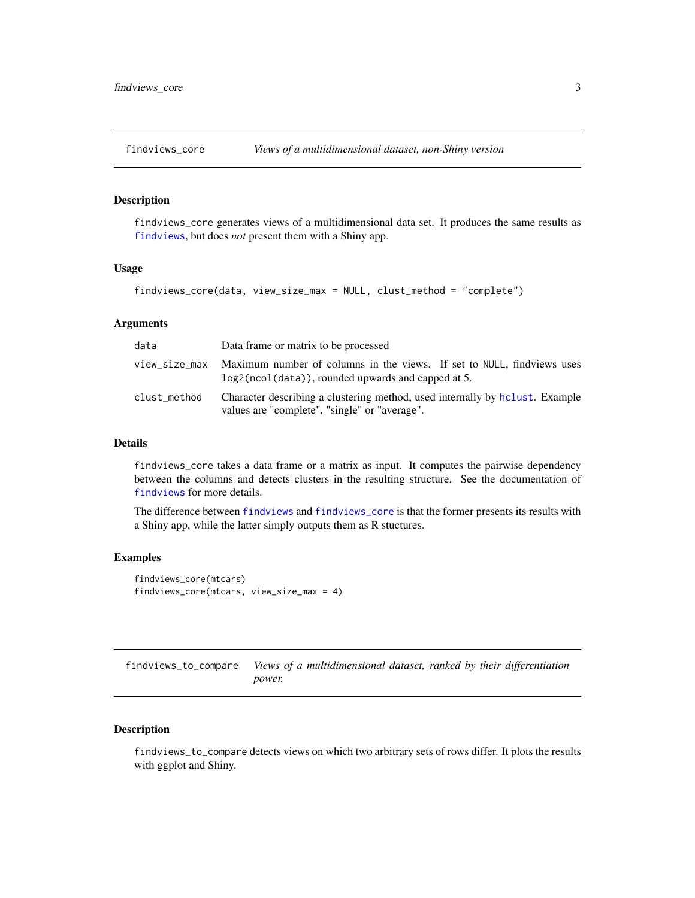<span id="page-2-1"></span><span id="page-2-0"></span>

# Description

findviews\_core generates views of a multidimensional data set. It produces the same results as [findviews](#page-1-1), but does *not* present them with a Shiny app.

#### Usage

```
findviews_core(data, view_size_max = NULL, clust_method = "complete")
```
# Arguments

| data          | Data frame or matrix to be processed                                                                                           |
|---------------|--------------------------------------------------------------------------------------------------------------------------------|
| view size max | Maximum number of columns in the views. If set to NULL, findviews uses<br>log2(ncol(data)), rounded upwards and capped at 5.   |
| clust_method  | Character describing a clustering method, used internally by holight. Example<br>values are "complete", "single" or "average". |

## Details

findviews\_core takes a data frame or a matrix as input. It computes the pairwise dependency between the columns and detects clusters in the resulting structure. See the documentation of [findviews](#page-1-1) for more details.

The difference between [findviews](#page-1-1) and [findviews\\_core](#page-2-1) is that the former presents its results with a Shiny app, while the latter simply outputs them as R stuctures.

# Examples

```
findviews_core(mtcars)
findviews_core(mtcars, view_size_max = 4)
```
<span id="page-2-2"></span>findviews\_to\_compare *Views of a multidimensional dataset, ranked by their differentiation power.*

# Description

findviews\_to\_compare detects views on which two arbitrary sets of rows differ. It plots the results with ggplot and Shiny.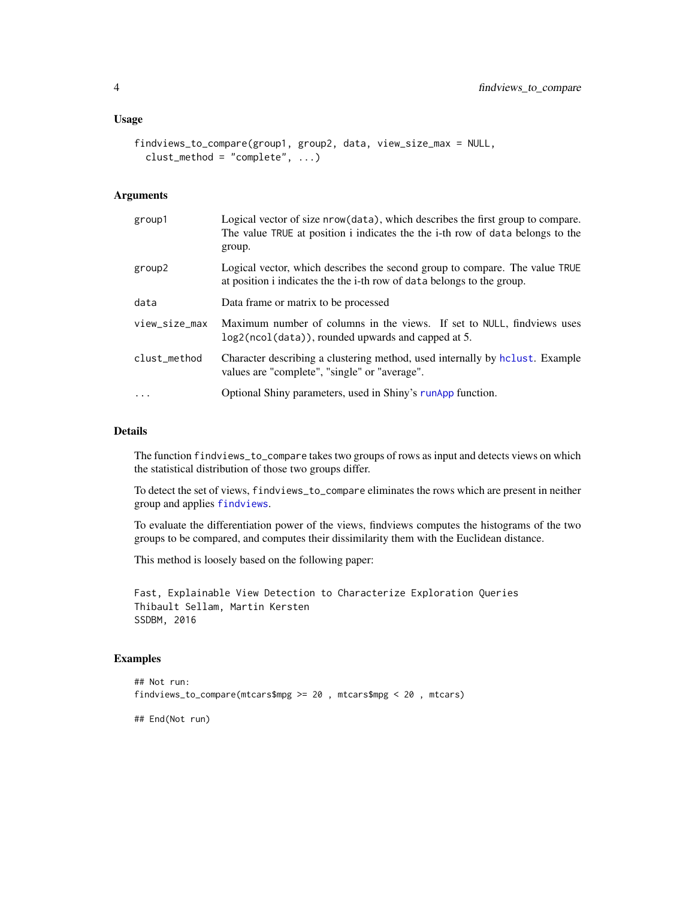#### <span id="page-3-0"></span>Usage

```
findviews_to_compare(group1, group2, data, view_size_max = NULL,
 clust_method = "complete", ...)
```
# Arguments

| group1        | Logical vector of size nrow(data), which describes the first group to compare.<br>The value TRUE at position i indicates the the i-th row of data belongs to the<br>group. |
|---------------|----------------------------------------------------------------------------------------------------------------------------------------------------------------------------|
| group2        | Logical vector, which describes the second group to compare. The value TRUE<br>at position i indicates the the i-th row of data belongs to the group.                      |
| data          | Data frame or matrix to be processed                                                                                                                                       |
| view_size_max | Maximum number of columns in the views. If set to NULL, findviews uses<br>log2(ncol(data)), rounded upwards and capped at 5.                                               |
| clust_method  | Character describing a clustering method, used internally by holiest. Example<br>values are "complete", "single" or "average".                                             |
| $\cdot$       | Optional Shiny parameters, used in Shiny's runApp function.                                                                                                                |

#### Details

The function findviews\_to\_compare takes two groups of rows as input and detects views on which the statistical distribution of those two groups differ.

To detect the set of views, findviews\_to\_compare eliminates the rows which are present in neither group and applies [findviews](#page-1-1).

To evaluate the differentiation power of the views, findviews computes the histograms of the two groups to be compared, and computes their dissimilarity them with the Euclidean distance.

This method is loosely based on the following paper:

Fast, Explainable View Detection to Characterize Exploration Queries Thibault Sellam, Martin Kersten SSDBM, 2016

#### Examples

```
## Not run:
findviews_to_compare(mtcars$mpg >= 20 , mtcars$mpg < 20 , mtcars)
```
## End(Not run)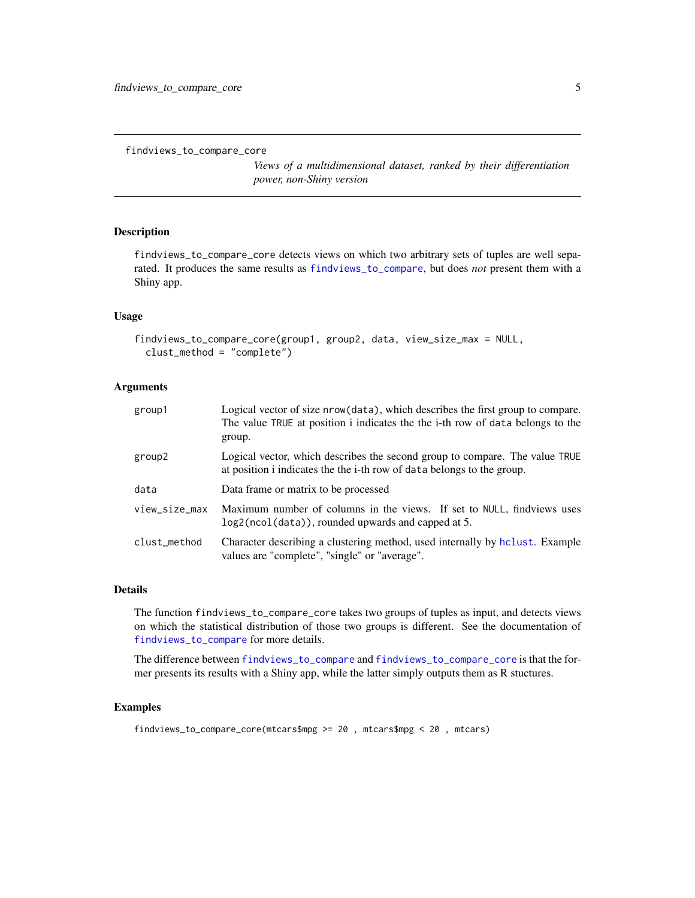```
findviews_to_compare_core
```
*Views of a multidimensional dataset, ranked by their differentiation power, non-Shiny version*

# Description

findviews\_to\_compare\_core detects views on which two arbitrary sets of tuples are well separated. It produces the same results as [findviews\\_to\\_compare](#page-2-2), but does *not* present them with a Shiny app.

#### Usage

```
findviews_to_compare_core(group1, group2, data, view_size_max = NULL,
  clust_method = "complete")
```
# Arguments

| group1        | Logical vector of size nrow(data), which describes the first group to compare.<br>The value TRUE at position i indicates the the i-th row of data belongs to the<br>group. |
|---------------|----------------------------------------------------------------------------------------------------------------------------------------------------------------------------|
| group2        | Logical vector, which describes the second group to compare. The value TRUE<br>at position i indicates the the i-th row of data belongs to the group.                      |
| data          | Data frame or matrix to be processed                                                                                                                                       |
| view_size_max | Maximum number of columns in the views. If set to NULL, findviews uses<br>log2(ncol(data)), rounded upwards and capped at 5.                                               |
| clust_method  | Character describing a clustering method, used internally by holiest. Example<br>values are "complete", "single" or "average".                                             |

#### Details

The function findviews\_to\_compare\_core takes two groups of tuples as input, and detects views on which the statistical distribution of those two groups is different. See the documentation of [findviews\\_to\\_compare](#page-2-2) for more details.

The difference between [findviews\\_to\\_compare](#page-2-2) and [findviews\\_to\\_compare\\_core](#page-4-1) is that the former presents its results with a Shiny app, while the latter simply outputs them as R stuctures.

# Examples

```
findviews_to_compare_core(mtcars$mpg >= 20 , mtcars$mpg < 20 , mtcars)
```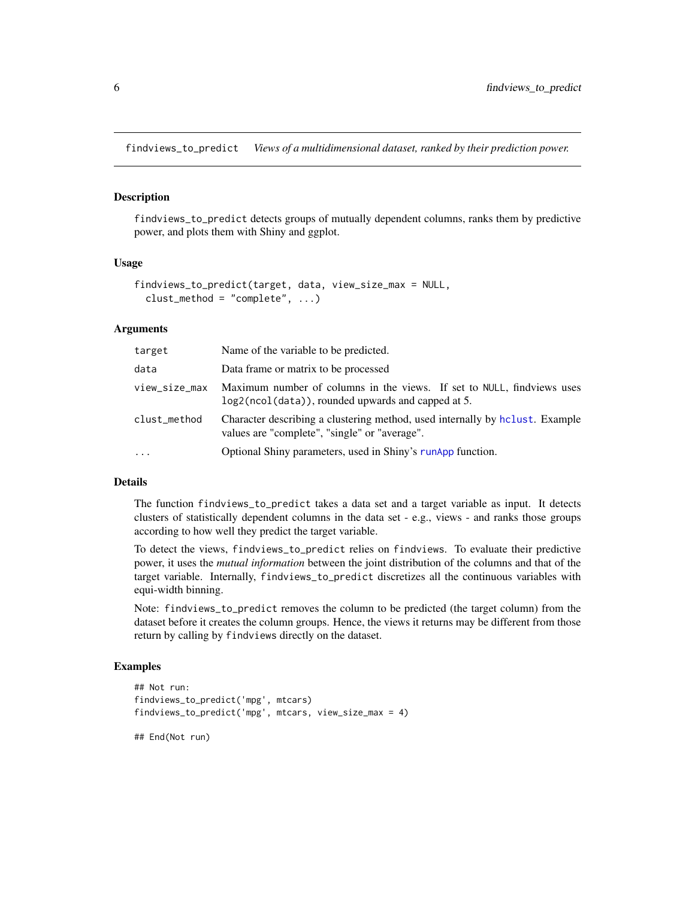<span id="page-5-1"></span><span id="page-5-0"></span>findviews\_to\_predict *Views of a multidimensional dataset, ranked by their prediction power.*

#### Description

findviews\_to\_predict detects groups of mutually dependent columns, ranks them by predictive power, and plots them with Shiny and ggplot.

#### Usage

```
findviews_to_predict(target, data, view_size_max = NULL,
 clust_method = "complete", ...)
```
# Arguments

| target        | Name of the variable to be predicted.                                                                                          |
|---------------|--------------------------------------------------------------------------------------------------------------------------------|
| data          | Data frame or matrix to be processed                                                                                           |
| view_size_max | Maximum number of columns in the views. If set to NULL, findviews uses<br>log2(ncol(data)), rounded upwards and capped at 5.   |
| clust_method  | Character describing a clustering method, used internally by holiest. Example<br>values are "complete", "single" or "average". |
| $\cdots$      | Optional Shiny parameters, used in Shiny's runApp function.                                                                    |

#### Details

The function findviews\_to\_predict takes a data set and a target variable as input. It detects clusters of statistically dependent columns in the data set - e.g., views - and ranks those groups according to how well they predict the target variable.

To detect the views, findviews\_to\_predict relies on findviews. To evaluate their predictive power, it uses the *mutual information* between the joint distribution of the columns and that of the target variable. Internally, findviews\_to\_predict discretizes all the continuous variables with equi-width binning.

Note: findviews\_to\_predict removes the column to be predicted (the target column) from the dataset before it creates the column groups. Hence, the views it returns may be different from those return by calling by findviews directly on the dataset.

# Examples

```
## Not run:
findviews_to_predict('mpg', mtcars)
findviews_to_predict('mpg', mtcars, view_size_max = 4)
## End(Not run)
```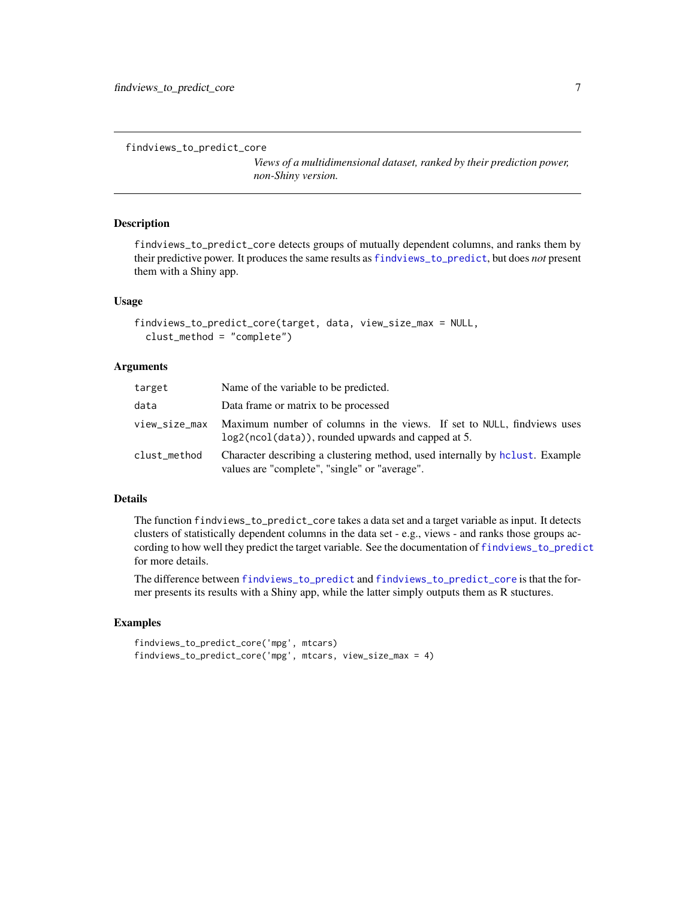```
findviews_to_predict_core
```
*Views of a multidimensional dataset, ranked by their prediction power, non-Shiny version.*

# Description

findviews\_to\_predict\_core detects groups of mutually dependent columns, and ranks them by their predictive power. It produces the same results as [findviews\\_to\\_predict](#page-5-1), but does *not* present them with a Shiny app.

#### Usage

```
findviews_to_predict_core(target, data, view_size_max = NULL,
 clust_method = "complete")
```
#### Arguments

| target        | Name of the variable to be predicted.                                                                                          |
|---------------|--------------------------------------------------------------------------------------------------------------------------------|
| data          | Data frame or matrix to be processed                                                                                           |
| view_size_max | Maximum number of columns in the views. If set to NULL, findviews uses<br>log2(ncol(data)), rounded upwards and capped at 5.   |
| clust_method  | Character describing a clustering method, used internally by holiest. Example<br>values are "complete", "single" or "average". |

# Details

The function findviews\_to\_predict\_core takes a data set and a target variable as input. It detects clusters of statistically dependent columns in the data set - e.g., views - and ranks those groups according to how well they predict the target variable. See the documentation of [findviews\\_to\\_predict](#page-5-1) for more details.

The difference between [findviews\\_to\\_predict](#page-5-1) and [findviews\\_to\\_predict\\_core](#page-6-1) is that the former presents its results with a Shiny app, while the latter simply outputs them as R stuctures.

### Examples

```
findviews_to_predict_core('mpg', mtcars)
findviews_to_predict_core('mpg', mtcars, view_size_max = 4)
```